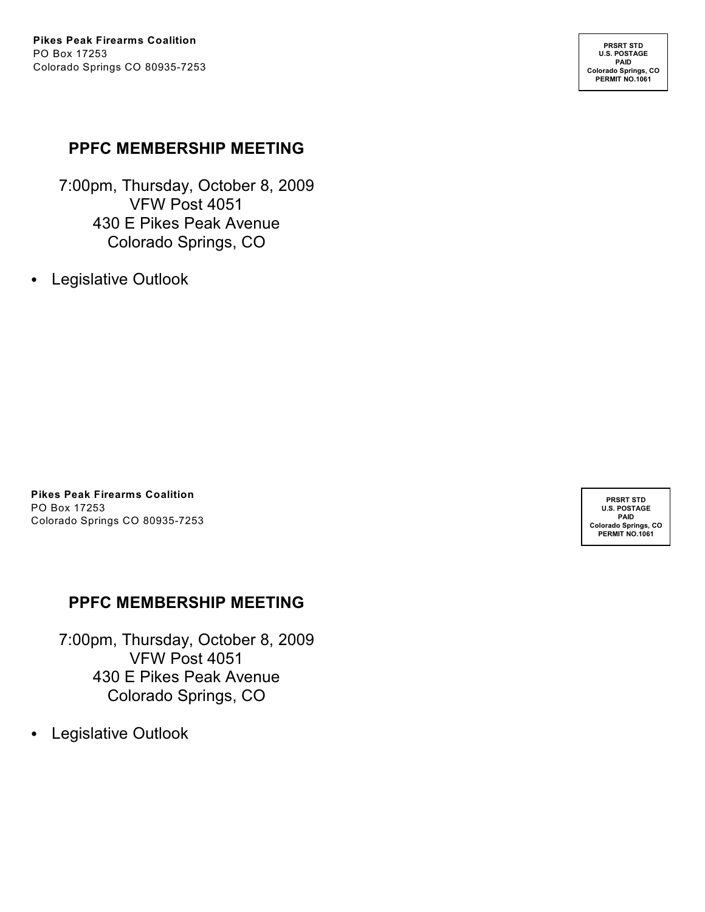**PRSRT STD U.S. POSTAGE PAID Colorado Springs, CO PERMIT NO.1061**

### **PPFC MEMBERSHIP MEETING**

7:00pm, Thursday, October 8, 2009 VFW Post 4051 430 E Pikes Peak Avenue Colorado Springs, CO

• Legislative Outlook

**Pikes Peak Firearms Coalition** PO Box 17253 Colorado Springs CO 80935-7253

### **PPFC MEMBERSHIP MEETING**

7:00pm, Thursday, October 8, 2009 VFW Post 4051 430 E Pikes Peak Avenue Colorado Springs, CO

• Legislative Outlook

**PRSRT STD U.S. POSTAGE PAID Colorado Springs, CO PERMIT NO.1061**